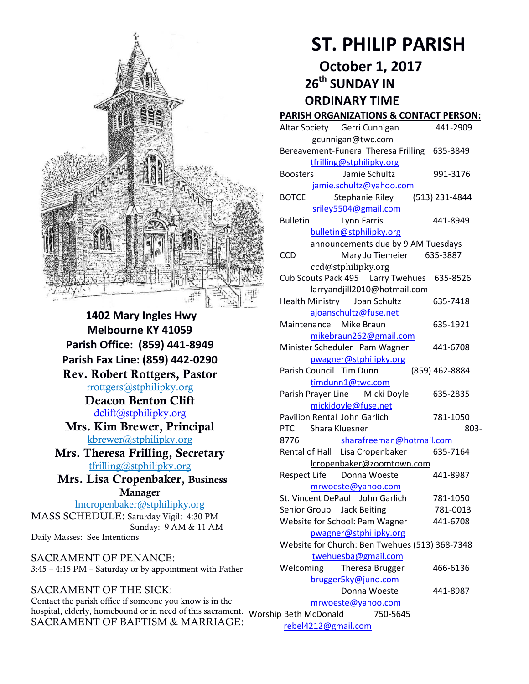

**1402 Mary Ingles Hwy Melbourne KY 41059 Parish Office: (859) 441-8949 Parish Fax Line: (859) 442-0290 Rev. Robert Rottgers, Pastor**  [rrottgers@stphilipky.org](mailto:rrottgers@stphilipky.org) **Deacon Benton Clift**  [dclift@stphilipky.org](mailto:dclift@stphilipky.org) **Mrs. Kim Brewer, Principal**  [kbrewer@stphilipky.org](mailto:kbrewer@stphilipky.org) **Mrs. Theresa Frilling, Secretary**  [tfrilling@stphilipky.org](mailto:tfrilling@stphilipky.org) **Mrs. Lisa Cropenbaker, Business Manager**  lmcropenbaker@stphilipky.org MASS SCHEDULE: Saturday Vigil: 4:30 PM Sunday: 9 AM & 11 AM Daily Masses: See Intentions

SACRAMENT OF PENANCE: 3:45 – 4:15 PM – Saturday or by appointment with Father

SACRAMENT OF THE SICK: Contact the parish office if someone you know is in the hospital, elderly, homebound or in need of this sacrament. Worship Beth McDonald 750-5645 SACRAMENT OF BAPTISM & MARRIAGE:

# **ST. PHILIP PARISH**

**October 1, 2017** 

 **26th SUNDAY IN ORDINARY TIME** 

## **PARISH ORGANIZATIONS & CONTACT PERSON:**

| Altar Society Gerri Cunnigan                     | 441-2909                 |
|--------------------------------------------------|--------------------------|
| gcunnigan@twc.com                                |                          |
| Bereavement-Funeral Theresa Frilling 635-3849    |                          |
| tfrilling@stphilipky.org                         |                          |
| <b>Boosters</b><br>Jamie Schultz                 | 991-3176                 |
| jamie.schultz@yahoo.com                          |                          |
| <b>BOTCE</b><br>Stephanie Riley                  | (513) 231-4844           |
| sriley5504@gmail.com                             |                          |
| <b>Bulletin</b><br>Lynn Farris                   | 441-8949                 |
| bulletin@stphilipky.org                          |                          |
| announcements due by 9 AM Tuesdays               |                          |
| Mary Jo Tiemeier<br><b>CCD</b>                   | 635-3887                 |
| ccd@stphilipky.org                               |                          |
| Cub Scouts Pack 495    Larry Twehues    635-8526 |                          |
| larryandjill2010@hotmail.com                     |                          |
| Health Ministry Joan Schultz                     | 635-7418                 |
| ajoanschultz@fuse.net                            |                          |
| Maintenance<br>Mike Braun                        | 635-1921                 |
| mikebraun262@gmail.com                           |                          |
| Minister Scheduler Pam Wagner                    | 441-6708                 |
| pwagner@stphilipky.org                           |                          |
| Parish Council Tim Dunn                          | (859) 462-8884           |
| timdunn1@twc.com                                 |                          |
| Parish Prayer Line Micki Doyle                   | 635-2835                 |
| mickidoyle@fuse.net                              |                          |
| <b>Pavilion Rental John Garlich</b>              | 781-1050                 |
| <b>PTC</b><br>Shara Kluesner                     | 803-                     |
| 8776                                             | sharafreeman@hotmail.com |
| Rental of Hall Lisa Cropenbaker                  | 635-7164                 |
| lcropenbaker@zoomtown.com                        |                          |
| <b>Respect Life</b><br>Donna Woeste              | 441-8987                 |
| mrwoeste@yahoo.com                               |                          |
| St. Vincent DePaul John Garlich                  | 781-1050                 |
| Senior Group Jack Beiting                        | 781-0013                 |
| Website for School: Pam Wagner                   | 441-6708                 |
| pwagner@stphilipky.org                           |                          |
| Website for Church: Ben Twehues (513) 368-7348   |                          |
| twehuesba@gmail.com                              |                          |
| Theresa Brugger<br>Welcoming                     | 466-6136                 |
| brugger5ky@juno.com                              |                          |
| Donna Woeste                                     | 441-8987                 |
| mrwoeste@yahoo.com                               |                          |
| Beth McDonald                                    | 750-5645                 |

[rebel4212@gmail.com](mailto:trebel4212@gmail.com)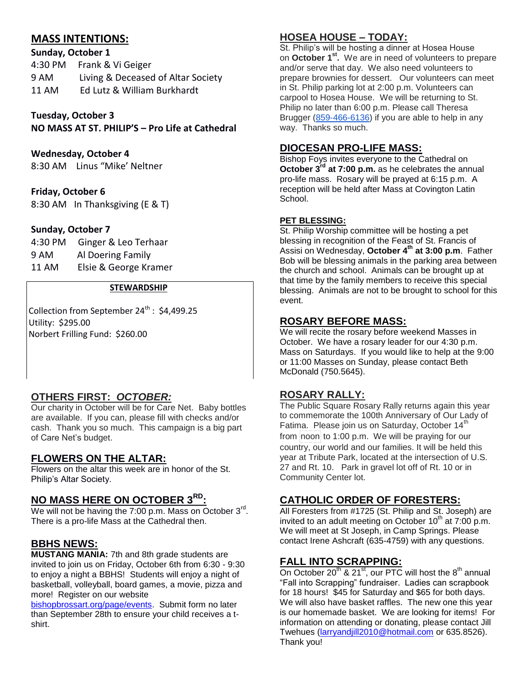# **MASS INTENTIONS:**

| Sunday, October 1                  |  |
|------------------------------------|--|
| 4:30 PM Frank & Vi Geiger          |  |
| Living & Deceased of Altar Society |  |
| Ed Lutz & William Burkhardt        |  |
|                                    |  |

**Tuesday, October 3**

**NO MASS AT ST. PHILIP'S – Pro Life at Cathedral**

#### **Wednesday, October 4**

8:30 AM Linus "Mike' Neltner

#### **Friday, October 6**

8:30 AM In Thanksgiving (E & T)

#### **Sunday, October 7**

4:30 PM Ginger & Leo Terhaar 9 AM Al Doering Family 11 AM Elsie & George Kramer

#### **STEWARDSHIP**

Collection from September  $24^{th}$  : \$4,499.25 Utility: \$295.00 Norbert Frilling Fund: \$260.00

#### **OTHERS FIRST:** *OCTOBER:*

Our charity in October will be for Care Net. Baby bottles are available. If you can, please fill with checks and/or cash. Thank you so much. This campaign is a big part of Care Net's budget.

## **FLOWERS ON THE ALTAR:**

Flowers on the altar this week are in honor of the St. Philip's Altar Society.

## **NO MASS HERE ON OCTOBER 3RD:**

We will not be having the 7:00 p.m. Mass on October  $3^{\text{rd}}$ . There is a pro-life Mass at the Cathedral then.

#### **BBHS NEWS:**

**MUSTANG MANIA:** 7th and 8th grade students are invited to join us on Friday, October 6th from 6:30 - 9:30 to enjoy a night a BBHS! Students will enjoy a night of basketball, volleyball, board games, a movie, pizza and more! Register on our website

[bishopbrossart.org/page/events.](http://www.bishopbrossart.org/page/events) Submit form no later than September 28th to ensure your child receives a tshirt.

## **HOSEA HOUSE – TODAY:**

St. Philip's will be hosting a dinner at Hosea House on **October 1st .** We are in need of volunteers to prepare and/or serve that day. We also need volunteers to prepare brownies for dessert. Our volunteers can meet in St. Philip parking lot at 2:00 p.m. Volunteers can carpool to Hosea House. We will be returning to St. Philip no later than 6:00 p.m. Please call Theresa Brugger [\(859-466-6136\)](tel:(859)%20466-6136) if you are able to help in any way. Thanks so much.

#### **DIOCESAN PRO-LIFE MASS:**

Bishop Foys invites everyone to the Cathedral on **October 3rd at 7:00 p.m.** as he celebrates the annual pro-life mass. Rosary will be prayed at 6:15 p.m. A reception will be held after Mass at Covington Latin School.

#### **PET BLESSING:**

St. Philip Worship committee will be hosting a pet blessing in recognition of the Feast of St. Francis of Assisi on Wednesday, **October 4th at 3:00 p.m**. Father Bob will be blessing animals in the parking area between the church and school. Animals can be brought up at that time by the family members to receive this special blessing. Animals are not to be brought to school for this event.

#### **ROSARY BEFORE MASS:**

We will recite the rosary before weekend Masses in October. We have a rosary leader for our 4:30 p.m. Mass on Saturdays. If you would like to help at the 9:00 or 11:00 Masses on Sunday, please contact Beth McDonald (750.5645).

#### **ROSARY RALLY:**

The Public Square Rosary Rally returns again this year to commemorate the 100th Anniversary of Our Lady of Fatima. Please join us on Saturday, October 14<sup>th</sup> from noon to 1:00 p.m. We will be praying for our country, our world and our families. It will be held this year at Tribute Park, located at the intersection of U.S. 27 and Rt. 10. Park in gravel lot off of Rt. 10 or in Community Center lot.

## **CATHOLIC ORDER OF FORESTERS:**

All Foresters from #1725 (St. Philip and St. Joseph) are invited to an adult meeting on October  $10^{th}$  at 7:00 p.m. We will meet at St Joseph, in Camp Springs. Please contact Irene Ashcraft (635-4759) with any questions.

#### **FALL INTO SCRAPPING:**

On October  $20^{th}$  &  $21^{st}$ , our PTC will host the  $8^{th}$  annual "Fall into Scrapping" fundraiser. Ladies can scrapbook for 18 hours! \$45 for Saturday and \$65 for both days. We will also have basket raffles. The new one this year is our homemade basket. We are looking for items! For information on attending or donating, please contact Jill Twehues [\(larryandjill2010@hotmail.com](mailto:larryandjill2010@hotmail.com) or 635.8526). Thank you!